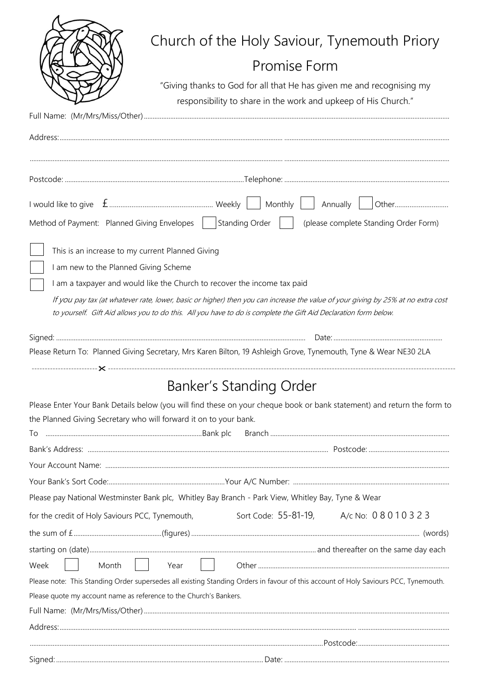|                                                                    | Church of the Holy Saviour, Tynemouth Priory                                                                                                                                                 |
|--------------------------------------------------------------------|----------------------------------------------------------------------------------------------------------------------------------------------------------------------------------------------|
|                                                                    | Promise Form                                                                                                                                                                                 |
|                                                                    | "Giving thanks to God for all that He has given me and recognising my                                                                                                                        |
|                                                                    | responsibility to share in the work and upkeep of His Church."                                                                                                                               |
|                                                                    |                                                                                                                                                                                              |
|                                                                    |                                                                                                                                                                                              |
|                                                                    |                                                                                                                                                                                              |
|                                                                    |                                                                                                                                                                                              |
|                                                                    |                                                                                                                                                                                              |
|                                                                    |                                                                                                                                                                                              |
|                                                                    | Method of Payment: Planned Giving Envelopes   Standing Order     (please complete Standing Order Form)                                                                                       |
| This is an increase to my current Planned Giving                   |                                                                                                                                                                                              |
| I am new to the Planned Giving Scheme                              |                                                                                                                                                                                              |
|                                                                    | I am a taxpayer and would like the Church to recover the income tax paid                                                                                                                     |
|                                                                    | If you pay tax (at whatever rate, lower, basic or higher) then you can increase the value of your giving by 25% at no extra cost                                                             |
|                                                                    | to yourself. Gift Aid allows you to do this. All you have to do is complete the Gift Aid Declaration form below.                                                                             |
|                                                                    |                                                                                                                                                                                              |
|                                                                    | Please Return To: Planned Giving Secretary, Mrs Karen Bilton, 19 Ashleigh Grove, Tynemouth, Tyne & Wear NE30 2LA                                                                             |
|                                                                    |                                                                                                                                                                                              |
|                                                                    | <b>Banker's Standing Order</b>                                                                                                                                                               |
|                                                                    |                                                                                                                                                                                              |
|                                                                    | Please Enter Your Bank Details below (you will find these on your cheque book or bank statement) and return the form to<br>the Planned Giving Secretary who will forward it on to your bank. |
|                                                                    |                                                                                                                                                                                              |
|                                                                    |                                                                                                                                                                                              |
|                                                                    |                                                                                                                                                                                              |
|                                                                    |                                                                                                                                                                                              |
|                                                                    | Please pay National Westminster Bank plc, Whitley Bay Branch - Park View, Whitley Bay, Tyne & Wear                                                                                           |
| for the credit of Holy Saviours PCC, Tynemouth,                    | Sort Code: 55-81-19, A/c No: 08010323                                                                                                                                                        |
|                                                                    |                                                                                                                                                                                              |
|                                                                    |                                                                                                                                                                                              |
| Week<br>Month                                                      | Year                                                                                                                                                                                         |
|                                                                    | Please note: This Standing Order supersedes all existing Standing Orders in favour of this account of Holy Saviours PCC, Tynemouth.                                                          |
| Please quote my account name as reference to the Church's Bankers. |                                                                                                                                                                                              |
|                                                                    |                                                                                                                                                                                              |
|                                                                    |                                                                                                                                                                                              |
|                                                                    |                                                                                                                                                                                              |
|                                                                    |                                                                                                                                                                                              |